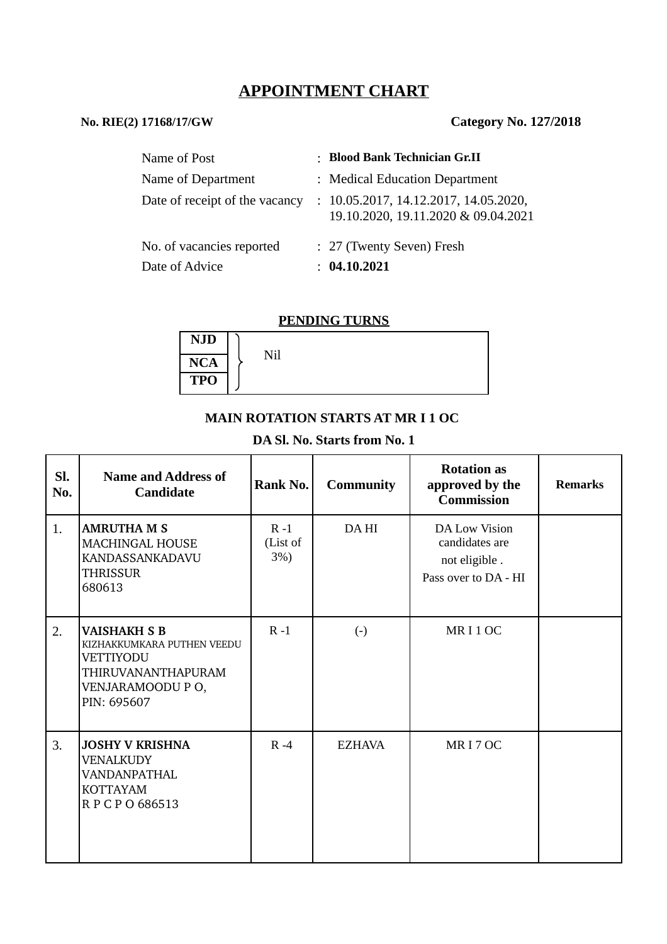# **APPOINTMENT CHART**

# **No. RIE(2) 17168/17/GW Category No. 127/2018**

| Name of Post                                | : Blood Bank Technician Gr.II                                                |
|---------------------------------------------|------------------------------------------------------------------------------|
| Name of Department                          | : Medical Education Department                                               |
| Date of receipt of the vacancy              | : 10.05.2017, 14.12.2017, 14.05.2020,<br>19.10.2020, 19.11.2020 & 09.04.2021 |
| No. of vacancies reported<br>Date of Advice | : 27 (Twenty Seven) Fresh<br>: 04.10.2021                                    |

#### **PENDING TURNS**

| <b>NJD</b> |     |  |
|------------|-----|--|
| <b>NCA</b> | Nil |  |
| <b>TPO</b> |     |  |

### **MAIN ROTATION STARTS AT MR I 1 OC**

# **DA Sl. No. Starts from No. 1**

| Sl.<br>No. | <b>Name and Address of</b><br><b>Candidate</b>                                                                           | Rank No.                      | <b>Community</b>  | <b>Rotation as</b><br>approved by the<br><b>Commission</b>               | <b>Remarks</b> |
|------------|--------------------------------------------------------------------------------------------------------------------------|-------------------------------|-------------------|--------------------------------------------------------------------------|----------------|
| 1.         | <b>AMRUTHA M S</b><br><b>MACHINGAL HOUSE</b><br><b>KANDASSANKADAVU</b><br>THRISSUR<br>680613                             | $R - 1$<br>(List of<br>$3%$ ) | DA HI             | DA Low Vision<br>candidates are<br>not eligible.<br>Pass over to DA - HI |                |
| 2.         | <b>VAISHAKH S B</b><br>KIZHAKKUMKARA PUTHEN VEEDU<br>VETTIYODU<br>THIRUVANANTHAPURAM<br>VENJARAMOODU P O,<br>PIN: 695607 | $R - 1$                       | $\left( -\right)$ | MRI1OC                                                                   |                |
| 3.         | <b>JOSHY V KRISHNA</b><br><b>VENALKUDY</b><br>VANDANPATHAL<br><b>KOTTAYAM</b><br>RPCPO686513                             | $R - 4$                       | <b>EZHAVA</b>     | MRI7OC                                                                   |                |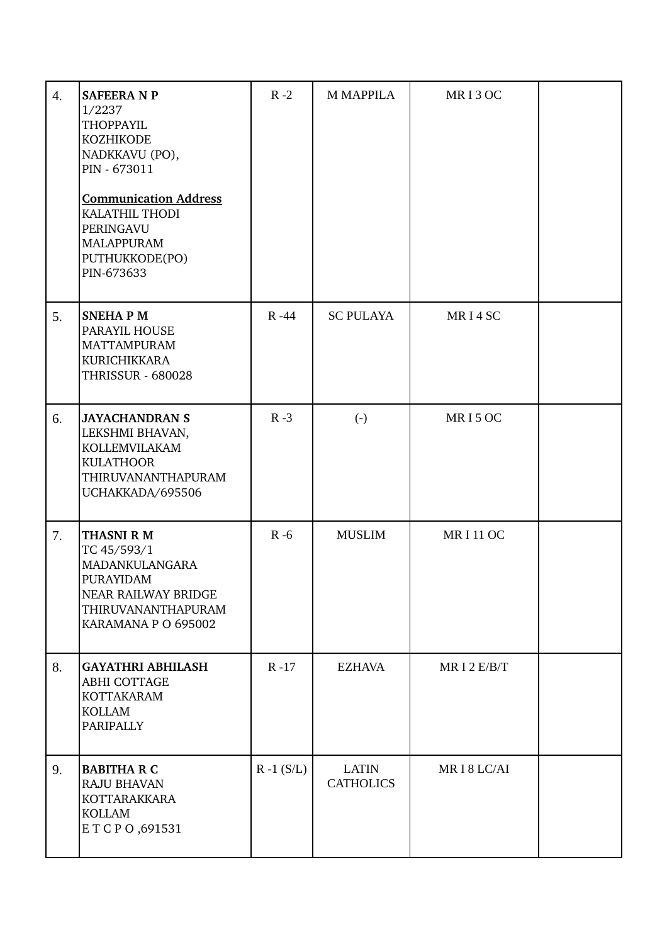| $\overline{4}$ . | <b>SAFEERA N P</b><br>1/2237<br><b>THOPPAYIL</b><br><b>KOZHIKODE</b><br>NADKKAVU (PO),<br>PIN - 673011<br><b>Communication Address</b><br>KALATHIL THODI<br>PERINGAVU<br><b>MALAPPURAM</b><br>PUTHUKKODE(PO)<br>PIN-673633 | $R - 2$       | <b>M MAPPILA</b>                 | MRI3OC         |  |
|------------------|----------------------------------------------------------------------------------------------------------------------------------------------------------------------------------------------------------------------------|---------------|----------------------------------|----------------|--|
| 5.               | <b>SNEHAPM</b><br>PARAYIL HOUSE<br><b>MATTAMPURAM</b><br>KURICHIKKARA<br><b>THRISSUR - 680028</b>                                                                                                                          | $R - 44$      | <b>SC PULAYA</b>                 | MRI4SC         |  |
| 6.               | <b>JAYACHANDRAN S</b><br>LEKSHMI BHAVAN,<br><b>KOLLEMVILAKAM</b><br>KULATHOOR<br>THIRUVANANTHAPURAM<br>UCHAKKADA/695506                                                                                                    | $R - 3$       | $(-)$                            | MRI5OC         |  |
| 7.               | <b>THASNI R M</b><br>TC 45/593/1<br>MADANKULANGARA<br>PURAYIDAM<br>NEAR RAILWAY BRIDGE<br>THIRUVANANTHAPURAM<br>KARAMANA P O 695002                                                                                        | $R - 6$       | <b>MUSLIM</b>                    | <b>MRI11OC</b> |  |
| 8.               | <b>GAYATHRI ABHILASH</b><br><b>ABHI COTTAGE</b><br><b>KOTTAKARAM</b><br><b>KOLLAM</b><br>PARIPALLY                                                                                                                         | $R - 17$      | <b>EZHAVA</b>                    | MRI2E/B/T      |  |
| 9.               | <b>BABITHA R C</b><br><b>RAJU BHAVAN</b><br>KOTTARAKKARA<br><b>KOLLAM</b><br>ETCPO, 691531                                                                                                                                 | $R - 1 (S/L)$ | <b>LATIN</b><br><b>CATHOLICS</b> | MRI8LC/AI      |  |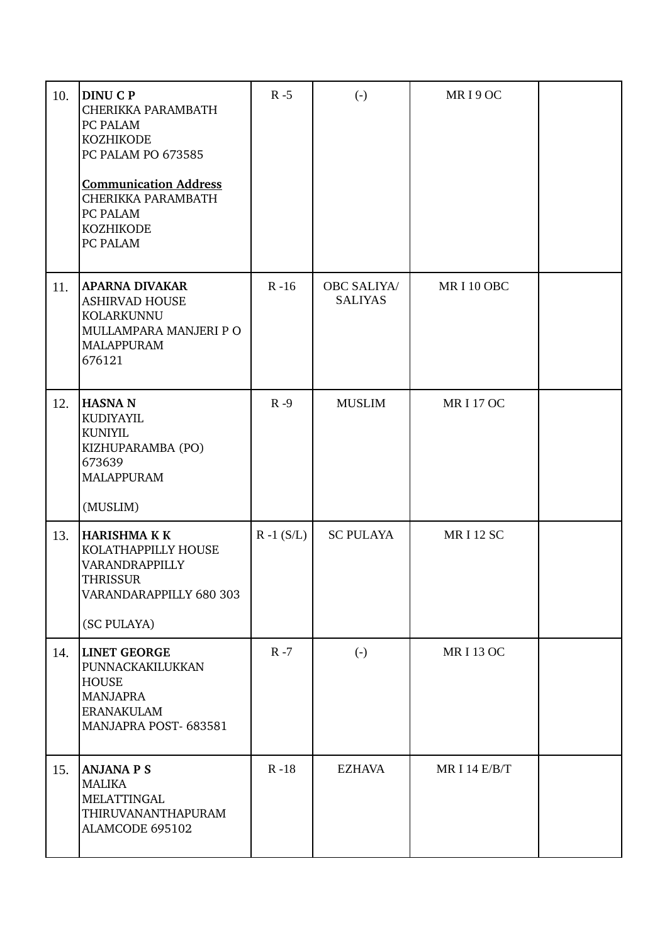| 10. | <b>DINU C P</b><br>CHERIKKA PARAMBATH<br>PC PALAM<br><b>KOZHIKODE</b><br>PC PALAM PO 673585<br><b>Communication Address</b><br>CHERIKKA PARAMBATH<br>PC PALAM<br><b>KOZHIKODE</b><br>PC PALAM | $R - 5$       | $(-)$                                | MRI9OC               |  |
|-----|-----------------------------------------------------------------------------------------------------------------------------------------------------------------------------------------------|---------------|--------------------------------------|----------------------|--|
| 11. | <b>APARNA DIVAKAR</b><br><b>ASHIRVAD HOUSE</b><br>KOLARKUNNU<br>MULLAMPARA MANJERI P O<br><b>MALAPPURAM</b><br>676121                                                                         | $R - 16$      | <b>OBC SALIYA/</b><br><b>SALIYAS</b> | MRI10 OBC            |  |
| 12. | <b>HASNAN</b><br>KUDIYAYIL<br><b>KUNIYIL</b><br>KIZHUPARAMBA (PO)<br>673639<br><b>MALAPPURAM</b><br>(MUSLIM)                                                                                  | $R - 9$       | <b>MUSLIM</b>                        | <b>MRI17OC</b>       |  |
| 13. | <b>HARISHMA K K</b><br>KOLATHAPPILLY HOUSE<br>VARANDRAPPILLY<br><b>THRISSUR</b><br>VARANDARAPPILLY 680 303<br>(SC PULAYA)                                                                     | $R - 1 (S/L)$ | <b>SC PULAYA</b>                     | <b>MRI12 SC</b>      |  |
| 14. | <b>LINET GEORGE</b><br>PUNNACKAKILUKKAN<br><b>HOUSE</b><br><b>MANJAPRA</b><br><b>ERANAKULAM</b><br>MANJAPRA POST-683581                                                                       | $R - 7$       | $(-)$                                | <b>MRI 13 OC</b>     |  |
| 15. | <b>ANJANA P S</b><br><b>MALIKA</b><br><b>MELATTINGAL</b><br>THIRUVANANTHAPURAM<br>ALAMCODE 695102                                                                                             | $R - 18$      | <b>EZHAVA</b>                        | <b>MR I 14 E/B/T</b> |  |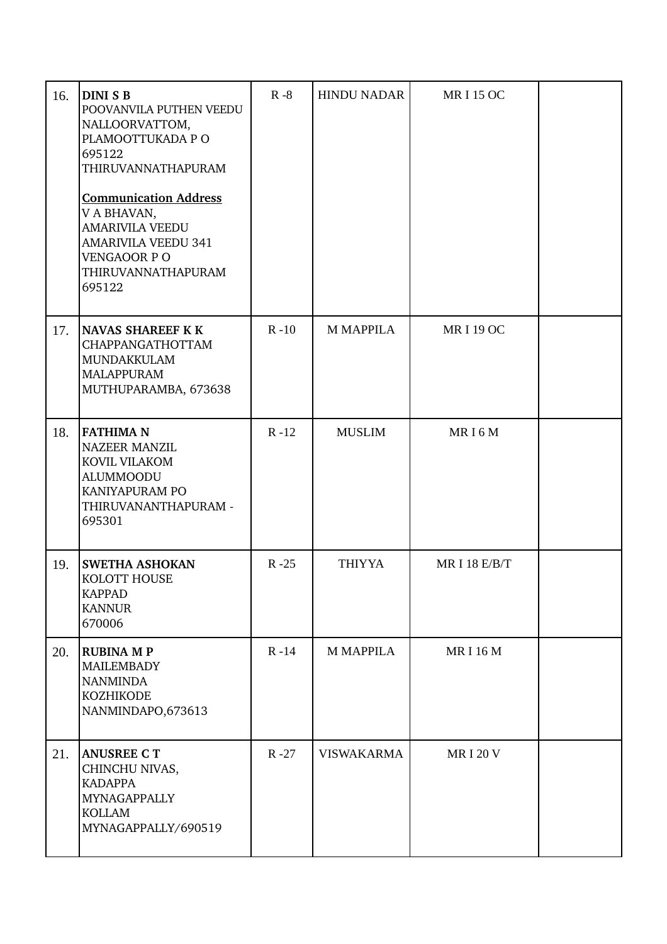| 16. | <b>DINI S B</b><br>POOVANVILA PUTHEN VEEDU<br>NALLOORVATTOM,<br>PLAMOOTTUKADA P O<br>695122<br>THIRUVANNATHAPURAM<br><b>Communication Address</b><br>V A BHAVAN,<br><b>AMARIVILA VEEDU</b><br><b>AMARIVILA VEEDU 341</b><br>VENGAOOR PO<br>THIRUVANNATHAPURAM<br>695122 | $R - 8$  | <b>HINDU NADAR</b> | <b>MRI15OC</b>      |  |
|-----|-------------------------------------------------------------------------------------------------------------------------------------------------------------------------------------------------------------------------------------------------------------------------|----------|--------------------|---------------------|--|
| 17. | <b>NAVAS SHAREEF K K</b><br>CHAPPANGATHOTTAM<br>MUNDAKKULAM<br><b>MALAPPURAM</b><br>MUTHUPARAMBA, 673638                                                                                                                                                                | $R - 10$ | <b>M MAPPILA</b>   | <b>MRI19OC</b>      |  |
| 18. | <b>FATHIMA N</b><br><b>NAZEER MANZIL</b><br>KOVIL VILAKOM<br><b>ALUMMOODU</b><br>KANIYAPURAM PO<br>THIRUVANANTHAPURAM -<br>695301                                                                                                                                       | $R - 12$ | <b>MUSLIM</b>      | MRI6M               |  |
| 19. | SWETHA ASHOKAN<br>KOLOTT HOUSE<br><b>KAPPAD</b><br><b>KANNUR</b><br>670006                                                                                                                                                                                              | $R - 25$ | <b>THIYYA</b>      | <b>MRI 18 E/B/T</b> |  |
| 20. | <b>RUBINA M P</b><br><b>MAILEMBADY</b><br><b>NANMINDA</b><br><b>KOZHIKODE</b><br>NANMINDAPO, 673613                                                                                                                                                                     | $R - 14$ | <b>M MAPPILA</b>   | <b>MRI16M</b>       |  |
| 21. | <b>ANUSREE CT</b><br>CHINCHU NIVAS,<br><b>KADAPPA</b><br>MYNAGAPPALLY<br><b>KOLLAM</b><br>MYNAGAPPALLY/690519                                                                                                                                                           | $R - 27$ | <b>VISWAKARMA</b>  | <b>MRI20V</b>       |  |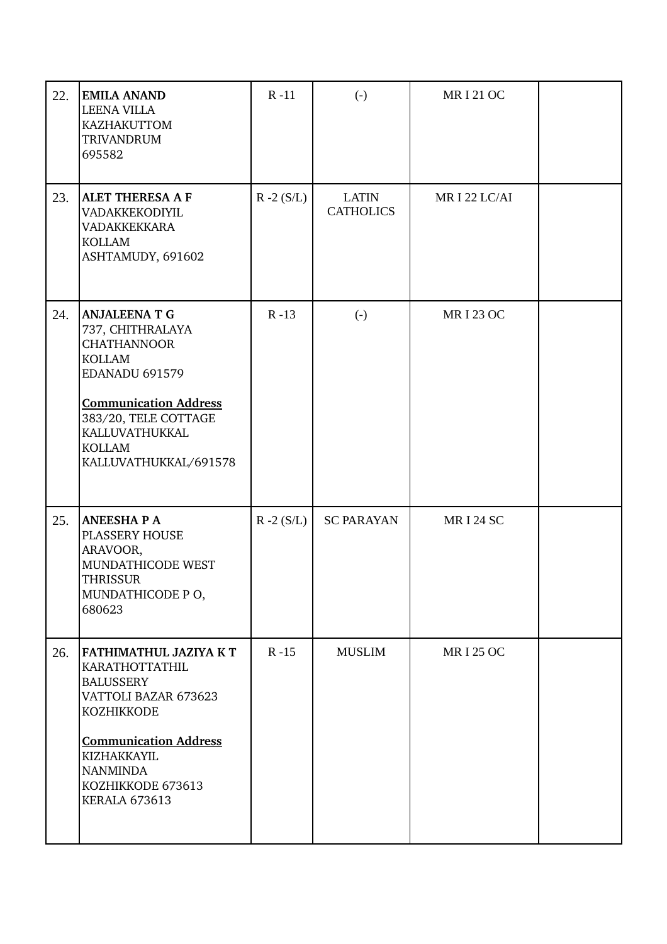| 22. | <b>EMILA ANAND</b><br><b>LEENA VILLA</b><br>KAZHAKUTTOM<br><b>TRIVANDRUM</b><br>695582                                                                                                                                              | $R - 11$     | $\left( -\right)$                | <b>MRI21OC</b>   |  |
|-----|-------------------------------------------------------------------------------------------------------------------------------------------------------------------------------------------------------------------------------------|--------------|----------------------------------|------------------|--|
| 23. | <b>ALET THERESA A F</b><br>VADAKKEKODIYIL<br><b>VADAKKEKKARA</b><br><b>KOLLAM</b><br>ASHTAMUDY, 691602                                                                                                                              | $R - 2(S/L)$ | <b>LATIN</b><br><b>CATHOLICS</b> | MRI 22 LC/AI     |  |
| 24. | <b>ANJALEENA T G</b><br>737, CHITHRALAYA<br><b>CHATHANNOOR</b><br><b>KOLLAM</b><br><b>EDANADU 691579</b><br><b>Communication Address</b><br>383/20, TELE COTTAGE<br><b>KALLUVATHUKKAL</b><br><b>KOLLAM</b><br>KALLUVATHUKKAL/691578 | $R - 13$     | $\left( -\right)$                | <b>MRI 23 OC</b> |  |
| 25. | <b>ANEESHAPA</b><br>PLASSERY HOUSE<br>ARAVOOR,<br>MUNDATHICODE WEST<br>THRISSUR<br>MUNDATHICODE PO,<br>680623                                                                                                                       | $R - 2(S/L)$ | <b>SC PARAYAN</b>                | <b>MRI 24 SC</b> |  |
| 26. | FATHIMATHUL JAZIYA KT<br>KARATHOTTATHIL<br><b>BALUSSERY</b><br>VATTOLI BAZAR 673623<br><b>KOZHIKKODE</b><br><b>Communication Address</b><br>KIZHAKKAYIL<br><b>NANMINDA</b><br>KOZHIKKODE 673613<br>KERALA 673613                    | $R - 15$     | <b>MUSLIM</b>                    | <b>MRI 25 OC</b> |  |